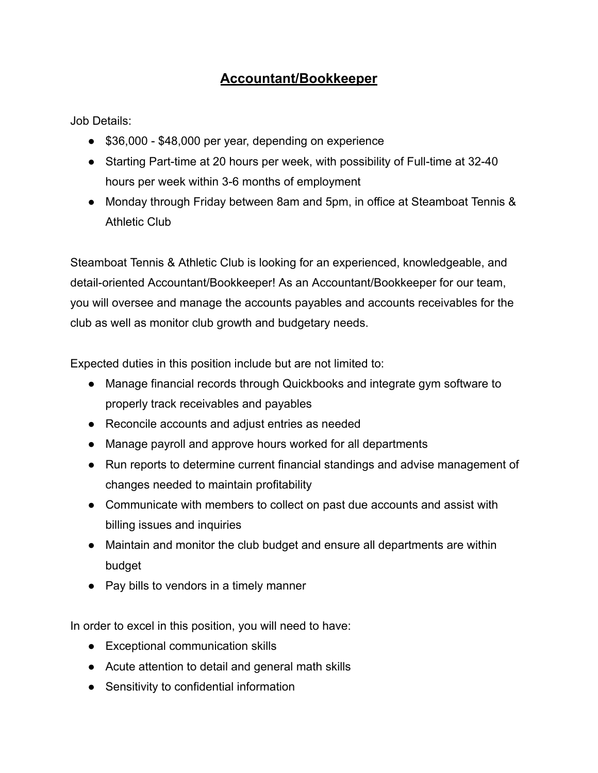## **Accountant/Bookkeeper**

Job Details:

- \$36,000 \$48,000 per year, depending on experience
- Starting Part-time at 20 hours per week, with possibility of Full-time at 32-40 hours per week within 3-6 months of employment
- Monday through Friday between 8am and 5pm, in office at Steamboat Tennis & Athletic Club

Steamboat Tennis & Athletic Club is looking for an experienced, knowledgeable, and detail-oriented Accountant/Bookkeeper! As an Accountant/Bookkeeper for our team, you will oversee and manage the accounts payables and accounts receivables for the club as well as monitor club growth and budgetary needs.

Expected duties in this position include but are not limited to:

- Manage financial records through Quickbooks and integrate gym software to properly track receivables and payables
- Reconcile accounts and adjust entries as needed
- Manage payroll and approve hours worked for all departments
- Run reports to determine current financial standings and advise management of changes needed to maintain profitability
- Communicate with members to collect on past due accounts and assist with billing issues and inquiries
- Maintain and monitor the club budget and ensure all departments are within budget
- Pay bills to vendors in a timely manner

In order to excel in this position, you will need to have:

- Exceptional communication skills
- Acute attention to detail and general math skills
- Sensitivity to confidential information